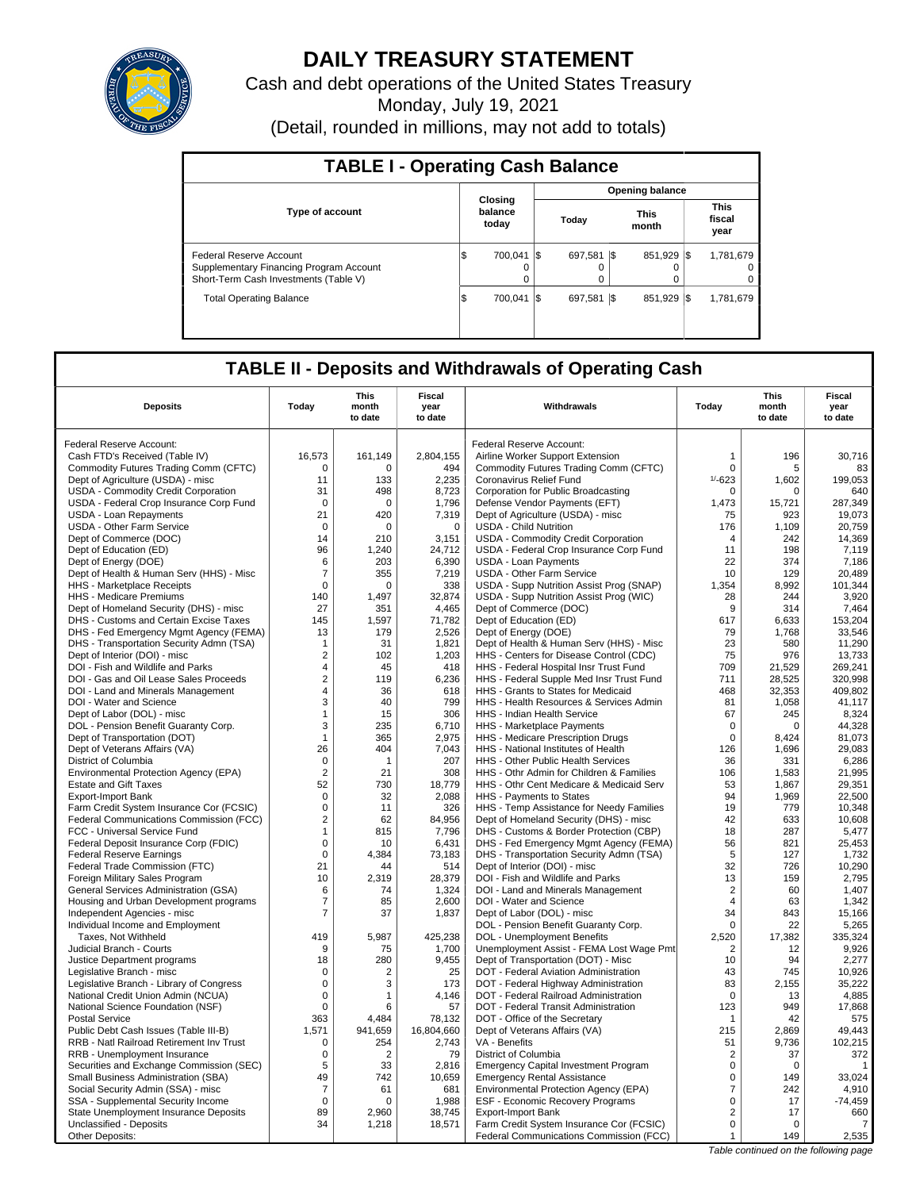

# **DAILY TREASURY STATEMENT**

Cash and debt operations of the United States Treasury

Monday, July 19, 2021

(Detail, rounded in millions, may not add to totals)

| <b>TABLE I - Operating Cash Balance</b>                                                                     |     |                             |     |                        |      |                      |  |                               |  |  |  |
|-------------------------------------------------------------------------------------------------------------|-----|-----------------------------|-----|------------------------|------|----------------------|--|-------------------------------|--|--|--|
|                                                                                                             |     |                             |     | <b>Opening balance</b> |      |                      |  |                               |  |  |  |
| <b>Type of account</b>                                                                                      |     | Closing<br>balance<br>today |     | Today                  |      | <b>This</b><br>month |  | <b>This</b><br>fiscal<br>year |  |  |  |
| Federal Reserve Account<br>Supplementary Financing Program Account<br>Short-Term Cash Investments (Table V) | S   | 700.041<br>0<br>$\Omega$    | I\$ | 697.581<br>O<br>0      | - IS | 851.929 \\$          |  | 1,781,679<br>0<br>0           |  |  |  |
| <b>Total Operating Balance</b>                                                                              | 1\$ | 700.041                     | I\$ | 697.581                | 1\$  | 851.929 \\$          |  | 1,781,679                     |  |  |  |

# **TABLE II - Deposits and Withdrawals of Operating Cash**

| <b>Deposits</b>                                                       | Todav               | This<br>month<br>to date | Fiscal<br>year<br>to date | Withdrawals                                                                    | Todav                            | This<br>month<br>to date | Fiscal<br>year<br>to date |
|-----------------------------------------------------------------------|---------------------|--------------------------|---------------------------|--------------------------------------------------------------------------------|----------------------------------|--------------------------|---------------------------|
|                                                                       |                     |                          |                           |                                                                                |                                  |                          |                           |
| Federal Reserve Account:                                              |                     |                          |                           | Federal Reserve Account:                                                       |                                  |                          |                           |
| Cash FTD's Received (Table IV)                                        | 16,573              | 161,149                  | 2,804,155                 | Airline Worker Support Extension                                               | 1                                | 196                      | 30,716                    |
| Commodity Futures Trading Comm (CFTC)                                 | $\mathbf 0$         | 0                        | 494                       | Commodity Futures Trading Comm (CFTC)                                          | $\mathbf 0$                      | 5                        | 83                        |
| Dept of Agriculture (USDA) - misc                                     | 11                  | 133                      | 2,235                     | Coronavirus Relief Fund                                                        | $1/ - 623$                       | 1,602                    | 199,053                   |
| USDA - Commodity Credit Corporation                                   | 31                  | 498                      | 8,723                     | Corporation for Public Broadcasting                                            | 0                                | $\mathbf 0$              | 640                       |
| USDA - Federal Crop Insurance Corp Fund                               | $\mathbf 0$         | $\Omega$                 | 1,796                     | Defense Vendor Payments (EFT)                                                  | 1,473                            | 15,721                   | 287,349                   |
| <b>USDA - Loan Repayments</b>                                         | 21                  | 420                      | 7,319                     | Dept of Agriculture (USDA) - misc                                              | 75                               | 923                      | 19,073                    |
| <b>USDA - Other Farm Service</b>                                      | $\mathbf 0$         | 0                        | $\mathbf 0$               | <b>USDA - Child Nutrition</b>                                                  | 176<br>$\overline{4}$            | 1,109                    | 20,759                    |
| Dept of Commerce (DOC)<br>Dept of Education (ED)                      | 14<br>96            | 210<br>1,240             | 3,151<br>24,712           | USDA - Commodity Credit Corporation<br>USDA - Federal Crop Insurance Corp Fund | 11                               | 242<br>198               | 14,369<br>7,119           |
| Dept of Energy (DOE)                                                  | 6                   | 203                      | 6,390                     | <b>USDA - Loan Payments</b>                                                    | 22                               | 374                      | 7,186                     |
| Dept of Health & Human Serv (HHS) - Misc                              | $\overline{7}$      | 355                      | 7,219                     | USDA - Other Farm Service                                                      | 10                               | 129                      | 20.489                    |
| <b>HHS - Marketplace Receipts</b>                                     | $\mathbf 0$         | 0                        | 338                       | USDA - Supp Nutrition Assist Prog (SNAP)                                       | 1,354                            | 8,992                    | 101,344                   |
| <b>HHS - Medicare Premiums</b>                                        | 140                 | 1,497                    | 32,874                    | USDA - Supp Nutrition Assist Prog (WIC)                                        | 28                               | 244                      | 3,920                     |
| Dept of Homeland Security (DHS) - misc                                | 27                  | 351                      | 4,465                     | Dept of Commerce (DOC)                                                         | 9                                | 314                      | 7,464                     |
| DHS - Customs and Certain Excise Taxes                                | 145                 | 1.597                    | 71,782                    | Dept of Education (ED)                                                         | 617                              | 6.633                    | 153.204                   |
| DHS - Fed Emergency Mgmt Agency (FEMA)                                | 13                  | 179                      | 2,526                     | Dept of Energy (DOE)                                                           | 79                               | 1,768                    | 33,546                    |
| DHS - Transportation Security Admn (TSA)                              | $\overline{1}$      | 31                       | 1,821                     | Dept of Health & Human Serv (HHS) - Misc                                       | 23                               | 580                      | 11,290                    |
| Dept of Interior (DOI) - misc                                         | $\overline{2}$      | 102                      | 1,203                     | HHS - Centers for Disease Control (CDC)                                        | 75                               | 976                      | 13,733                    |
| DOI - Fish and Wildlife and Parks                                     | 4                   | 45                       | 418                       | HHS - Federal Hospital Insr Trust Fund                                         | 709                              | 21,529                   | 269,241                   |
| DOI - Gas and Oil Lease Sales Proceeds                                | $\overline{2}$      | 119                      | 6,236                     | HHS - Federal Supple Med Insr Trust Fund                                       | 711                              | 28.525                   | 320.998                   |
| DOI - Land and Minerals Management                                    | 4                   | 36                       | 618                       | HHS - Grants to States for Medicaid                                            | 468                              | 32,353                   | 409,802                   |
| DOI - Water and Science                                               | 3                   | 40                       | 799                       | HHS - Health Resources & Services Admin                                        | 81                               | 1,058                    | 41,117                    |
| Dept of Labor (DOL) - misc                                            | $\mathbf{1}$        | 15                       | 306                       | HHS - Indian Health Service                                                    | 67                               | 245                      | 8,324                     |
| DOL - Pension Benefit Guaranty Corp.                                  | 3                   | 235                      | 6,710                     | HHS - Marketplace Payments                                                     | $\mathbf 0$                      | $\Omega$                 | 44,328                    |
| Dept of Transportation (DOT)                                          | $\mathbf{1}$        | 365                      | 2,975                     | HHS - Medicare Prescription Drugs                                              | $\mathbf 0$                      | 8,424                    | 81,073                    |
| Dept of Veterans Affairs (VA)                                         | 26                  | 404                      | 7,043                     | HHS - National Institutes of Health                                            | 126                              | 1,696                    | 29,083                    |
| District of Columbia                                                  | $\mathbf 0$         | $\mathbf{1}$             | 207                       | <b>HHS - Other Public Health Services</b>                                      | 36                               | 331                      | 6,286                     |
| Environmental Protection Agency (EPA)                                 | $\mathbf 2$         | 21                       | 308                       | HHS - Othr Admin for Children & Families                                       | 106                              | 1,583                    | 21.995                    |
| <b>Estate and Gift Taxes</b>                                          | 52                  | 730                      | 18,779                    | HHS - Othr Cent Medicare & Medicaid Serv                                       | 53                               | 1,867                    | 29,351                    |
| <b>Export-Import Bank</b>                                             | $\mathbf 0$         | 32                       | 2,088                     | HHS - Payments to States                                                       | 94                               | 1,969                    | 22,500                    |
| Farm Credit System Insurance Cor (FCSIC)                              | $\mathbf 0$         | 11                       | 326                       | HHS - Temp Assistance for Needy Families                                       | 19                               | 779                      | 10,348                    |
| Federal Communications Commission (FCC)                               | $\overline{2}$      | 62                       | 84,956                    | Dept of Homeland Security (DHS) - misc                                         | 42                               | 633                      | 10,608                    |
| FCC - Universal Service Fund                                          | $\mathbf{1}$        | 815                      | 7,796                     | DHS - Customs & Border Protection (CBP)                                        | 18                               | 287                      | 5,477                     |
| Federal Deposit Insurance Corp (FDIC)                                 | $\mathbf 0$         | 10                       | 6.431                     | DHS - Fed Emergency Mgmt Agency (FEMA)                                         | 56                               | 821                      | 25.453                    |
| <b>Federal Reserve Earnings</b>                                       | $\pmb{0}$           | 4,384                    | 73,183                    | DHS - Transportation Security Admn (TSA)                                       | 5                                | 127                      | 1,732                     |
| Federal Trade Commission (FTC)                                        | 21                  | 44                       | 514                       | Dept of Interior (DOI) - misc                                                  | 32                               | 726                      | 10,290                    |
| Foreign Military Sales Program                                        | 10                  | 2,319                    | 28,379                    | DOI - Fish and Wildlife and Parks                                              | 13                               | 159                      | 2,795                     |
| General Services Administration (GSA)                                 | 6<br>$\overline{7}$ | 74<br>85                 | 1,324<br>2,600            | DOI - Land and Minerals Management<br>DOI - Water and Science                  | $\overline{2}$<br>$\overline{4}$ | 60<br>63                 | 1,407<br>1,342            |
| Housing and Urban Development programs<br>Independent Agencies - misc | $\overline{7}$      | 37                       | 1,837                     | Dept of Labor (DOL) - misc                                                     | 34                               | 843                      | 15,166                    |
| Individual Income and Employment                                      |                     |                          |                           | DOL - Pension Benefit Guaranty Corp.                                           | $\mathbf 0$                      | 22                       | 5,265                     |
| Taxes, Not Withheld                                                   | 419                 | 5,987                    | 425,238                   | DOL - Unemployment Benefits                                                    | 2,520                            | 17,382                   | 335,324                   |
| Judicial Branch - Courts                                              | 9                   | 75                       | 1,700                     | Unemployment Assist - FEMA Lost Wage Pmt                                       | 2                                | 12                       | 9,926                     |
| Justice Department programs                                           | 18                  | 280                      | 9,455                     | Dept of Transportation (DOT) - Misc                                            | 10                               | 94                       | 2,277                     |
| Legislative Branch - misc                                             | $\Omega$            | 2                        | 25                        | DOT - Federal Aviation Administration                                          | 43                               | 745                      | 10,926                    |
| Legislative Branch - Library of Congress                              | 0                   | 3                        | 173                       | DOT - Federal Highway Administration                                           | 83                               | 2,155                    | 35,222                    |
| National Credit Union Admin (NCUA)                                    | $\pmb{0}$           | 1                        | 4,146                     | DOT - Federal Railroad Administration                                          | $\Omega$                         | 13                       | 4,885                     |
| National Science Foundation (NSF)                                     | $\mathbf 0$         | 6                        | 57                        | DOT - Federal Transit Administration                                           | 123                              | 949                      | 17.868                    |
| <b>Postal Service</b>                                                 | 363                 | 4.484                    | 78,132                    | DOT - Office of the Secretary                                                  | 1                                | 42                       | 575                       |
| Public Debt Cash Issues (Table III-B)                                 | 1,571               | 941,659                  | 16,804,660                | Dept of Veterans Affairs (VA)                                                  | 215                              | 2,869                    | 49.443                    |
| RRB - Natl Railroad Retirement Inv Trust                              | 0                   | 254                      | 2,743                     | VA - Benefits                                                                  | 51                               | 9,736                    | 102,215                   |
| RRB - Unemployment Insurance                                          | $\mathbf 0$         | $\overline{2}$           | 79                        | District of Columbia                                                           | 2                                | 37                       | 372                       |
| Securities and Exchange Commission (SEC)                              | 5                   | 33                       | 2,816                     | <b>Emergency Capital Investment Program</b>                                    | $\mathbf 0$                      | $\Omega$                 | $\mathbf{1}$              |
| Small Business Administration (SBA)                                   | 49                  | 742                      | 10,659                    | <b>Emergency Rental Assistance</b>                                             | $\Omega$                         | 149                      | 33,024                    |
| Social Security Admin (SSA) - misc                                    | $\overline{7}$      | 61                       | 681                       | Environmental Protection Agency (EPA)                                          | $\overline{7}$                   | 242                      | 4,910                     |
| SSA - Supplemental Security Income                                    | $\mathsf 0$         | $\Omega$                 | 1,988                     | <b>ESF - Economic Recovery Programs</b>                                        | 0                                | 17                       | $-74,459$                 |
| State Unemployment Insurance Deposits                                 | 89                  | 2,960                    | 38,745                    | <b>Export-Import Bank</b>                                                      | 2                                | 17                       | 660                       |
| Unclassified - Deposits                                               | 34                  | 1,218                    | 18,571                    | Farm Credit System Insurance Cor (FCSIC)                                       | $\mathbf 0$                      | 0                        | 7                         |
| Other Deposits:                                                       |                     |                          |                           | Federal Communications Commission (FCC)                                        | $\mathbf{1}$                     | 149                      | 2,535                     |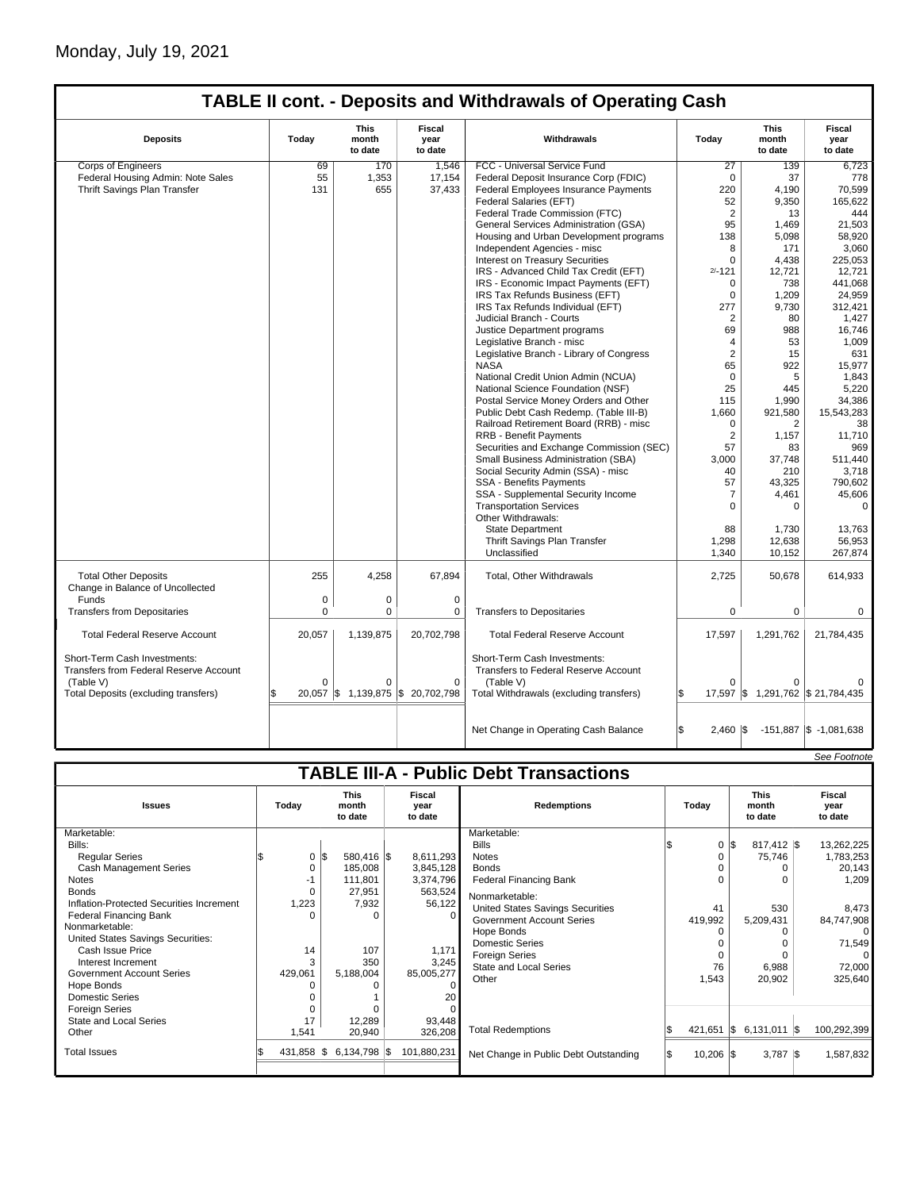# Monday, July 19, 2021

 $\mathsf{I}$ 

# **TABLE II cont. - Deposits and Withdrawals of Operating Cash**

| <b>Deposits</b>                                                               | Today        | This<br>month<br>to date | Fiscal<br>year<br>to date                        | Withdrawals                                                                 | Today                   | This<br>month<br>to date          | Fiscal<br>year<br>to date |
|-------------------------------------------------------------------------------|--------------|--------------------------|--------------------------------------------------|-----------------------------------------------------------------------------|-------------------------|-----------------------------------|---------------------------|
| <b>Corps of Engineers</b>                                                     | 69           | 170                      | 1,546                                            | FCC - Universal Service Fund                                                | 27                      | 139                               | 6,723                     |
| Federal Housing Admin: Note Sales                                             | 55           | 1,353                    | 17,154                                           | Federal Deposit Insurance Corp (FDIC)                                       | $\mathbf 0$             | 37                                | 778                       |
| Thrift Savings Plan Transfer                                                  | 131          | 655                      | 37,433                                           | Federal Employees Insurance Payments                                        | 220                     | 4,190                             | 70.599                    |
|                                                                               |              |                          |                                                  | Federal Salaries (EFT)                                                      | 52                      | 9,350                             | 165,622                   |
|                                                                               |              |                          |                                                  | Federal Trade Commission (FTC)                                              | $\overline{2}$          | 13                                | 444                       |
|                                                                               |              |                          |                                                  | General Services Administration (GSA)                                       | 95                      | 1,469                             | 21,503                    |
|                                                                               |              |                          |                                                  | Housing and Urban Development programs                                      | 138                     | 5,098                             | 58,920                    |
|                                                                               |              |                          |                                                  | Independent Agencies - misc                                                 | 8                       | 171                               | 3,060                     |
|                                                                               |              |                          |                                                  | Interest on Treasury Securities                                             | $\Omega$                | 4,438                             | 225.053                   |
|                                                                               |              |                          |                                                  | IRS - Advanced Child Tax Credit (EFT)                                       | $2/ - 121$              | 12,721                            | 12,721                    |
|                                                                               |              |                          |                                                  | IRS - Economic Impact Payments (EFT)                                        | 0                       | 738                               | 441.068                   |
|                                                                               |              |                          |                                                  | IRS Tax Refunds Business (EFT)                                              | 0                       | 1,209                             | 24,959                    |
|                                                                               |              |                          |                                                  | IRS Tax Refunds Individual (EFT)                                            | 277                     | 9,730                             | 312,421                   |
|                                                                               |              |                          |                                                  | Judicial Branch - Courts                                                    | $\overline{2}$          | 80                                | 1.427                     |
|                                                                               |              |                          |                                                  |                                                                             | 69                      | 988                               | 16,746                    |
|                                                                               |              |                          |                                                  | Justice Department programs                                                 |                         |                                   |                           |
|                                                                               |              |                          |                                                  | Legislative Branch - misc                                                   | $\overline{4}$          | 53                                | 1,009                     |
|                                                                               |              |                          |                                                  | Legislative Branch - Library of Congress                                    | $\overline{\mathbf{c}}$ | 15                                | 631                       |
|                                                                               |              |                          |                                                  | <b>NASA</b>                                                                 | 65                      | 922                               | 15,977                    |
|                                                                               |              |                          |                                                  | National Credit Union Admin (NCUA)                                          | $\mathbf 0$             | 5                                 | 1,843                     |
|                                                                               |              |                          |                                                  | National Science Foundation (NSF)                                           | 25                      | 445                               | 5,220                     |
|                                                                               |              |                          |                                                  | Postal Service Money Orders and Other                                       | 115                     | 1,990                             | 34,386                    |
|                                                                               |              |                          |                                                  | Public Debt Cash Redemp. (Table III-B)                                      | 1,660                   | 921,580                           | 15,543,283                |
|                                                                               |              |                          |                                                  | Railroad Retirement Board (RRB) - misc                                      | 0                       | 2                                 | 38                        |
|                                                                               |              |                          |                                                  | <b>RRB - Benefit Payments</b>                                               | $\overline{2}$          | 1.157                             | 11.710                    |
|                                                                               |              |                          |                                                  | Securities and Exchange Commission (SEC)                                    | 57                      | 83                                | 969                       |
|                                                                               |              |                          |                                                  | Small Business Administration (SBA)                                         | 3,000                   | 37,748                            | 511,440                   |
|                                                                               |              |                          |                                                  | Social Security Admin (SSA) - misc                                          | 40                      | 210                               | 3,718                     |
|                                                                               |              |                          |                                                  | <b>SSA - Benefits Payments</b>                                              | 57                      | 43,325                            | 790.602                   |
|                                                                               |              |                          |                                                  | SSA - Supplemental Security Income                                          | $\overline{7}$          | 4,461                             | 45,606                    |
|                                                                               |              |                          |                                                  | <b>Transportation Services</b>                                              | 0                       | $\mathbf 0$                       | $\mathbf 0$               |
|                                                                               |              |                          |                                                  | Other Withdrawals:                                                          |                         |                                   |                           |
|                                                                               |              |                          |                                                  | <b>State Department</b>                                                     | 88                      | 1,730                             | 13,763                    |
|                                                                               |              |                          |                                                  | Thrift Savings Plan Transfer                                                | 1,298                   | 12,638                            | 56,953                    |
|                                                                               |              |                          |                                                  | Unclassified                                                                | 1,340                   | 10,152                            | 267,874                   |
| <b>Total Other Deposits</b><br>Change in Balance of Uncollected               | 255          | 4,258                    | 67,894                                           | Total, Other Withdrawals                                                    | 2,725                   | 50,678                            | 614,933                   |
| <b>Funds</b>                                                                  | $\mathbf 0$  | $\mathbf 0$              | $\mathbf 0$                                      |                                                                             |                         |                                   |                           |
|                                                                               |              | $\mathbf 0$              |                                                  |                                                                             |                         |                                   |                           |
| <b>Transfers from Depositaries</b>                                            | 0            |                          | 0                                                | <b>Transfers to Depositaries</b>                                            | 0                       | $\mathbf 0$                       | 0                         |
| <b>Total Federal Reserve Account</b>                                          | 20,057       | 1,139,875                | 20,702,798                                       | <b>Total Federal Reserve Account</b>                                        | 17,597                  | 1,291,762                         | 21,784,435                |
| Short-Term Cash Investments:<br><b>Transfers from Federal Reserve Account</b> |              |                          |                                                  | Short-Term Cash Investments:<br><b>Transfers to Federal Reserve Account</b> |                         |                                   |                           |
| (Table V)                                                                     | $\Omega$     | $\Omega$                 | $\Omega$                                         | (Table V)                                                                   | O                       | $\Omega$                          |                           |
| Total Deposits (excluding transfers)                                          | \$<br>20,057 |                          | $\frac{1}{3}$ 1,139,875 $\frac{1}{3}$ 20,702,798 | Total Withdrawals (excluding transfers)                                     |                         | 17,597 \$ 1,291,762 \$ 21,784,435 |                           |
|                                                                               |              |                          |                                                  | Net Change in Operating Cash Balance                                        | $2,460$ $\sqrt{5}$      |                                   | -151,887 \$ -1,081,638    |

|                                                                                                                                                                                                                                                                                                                                                                               |                                                                        |                                                                                     |                                                                                          |                                                                                                                                                                                                                                                                                                   |                                                    |                                                                                                    | See Footnote                                                                                                      |  |  |  |  |
|-------------------------------------------------------------------------------------------------------------------------------------------------------------------------------------------------------------------------------------------------------------------------------------------------------------------------------------------------------------------------------|------------------------------------------------------------------------|-------------------------------------------------------------------------------------|------------------------------------------------------------------------------------------|---------------------------------------------------------------------------------------------------------------------------------------------------------------------------------------------------------------------------------------------------------------------------------------------------|----------------------------------------------------|----------------------------------------------------------------------------------------------------|-------------------------------------------------------------------------------------------------------------------|--|--|--|--|
| <b>TABLE III-A - Public Debt Transactions</b>                                                                                                                                                                                                                                                                                                                                 |                                                                        |                                                                                     |                                                                                          |                                                                                                                                                                                                                                                                                                   |                                                    |                                                                                                    |                                                                                                                   |  |  |  |  |
| <b>Issues</b>                                                                                                                                                                                                                                                                                                                                                                 | Today                                                                  | <b>This</b><br>month<br>to date                                                     | Fiscal<br>vear<br>to date                                                                | <b>Redemptions</b>                                                                                                                                                                                                                                                                                | Todav                                              | <b>This</b><br>month<br>to date                                                                    | Fiscal<br>vear<br>to date                                                                                         |  |  |  |  |
| Marketable:<br>Bills:<br><b>Regular Series</b><br><b>Cash Management Series</b><br><b>Notes</b><br><b>Bonds</b><br>Inflation-Protected Securities Increment<br>Federal Financing Bank<br>Nonmarketable:<br>United States Savings Securities:<br>Cash Issue Price<br>Interest Increment<br>Government Account Series<br>Hope Bonds<br>Domestic Series<br><b>Foreign Series</b> | $0 \,$ $\upbeta$<br>0<br>$-1$<br>0<br>1,223<br>U<br>14<br>3<br>429,061 | 580,416 \$<br>185,008<br>111,801<br>27,951<br>7,932<br>O<br>107<br>350<br>5,188,004 | 8,611,293<br>3,845,128<br>3,374,796<br>563,524<br>56,122<br>1,171<br>3,245<br>85,005,277 | Marketable:<br><b>Bills</b><br><b>Notes</b><br><b>Bonds</b><br><b>Federal Financing Bank</b><br>Nonmarketable:<br><b>United States Savings Securities</b><br><b>Government Account Series</b><br>Hope Bonds<br><b>Domestic Series</b><br><b>Foreign Series</b><br>State and Local Series<br>Other | 0<br>41<br>419,992<br>O<br>$\Omega$<br>76<br>1,543 | l\$<br>$817,412$ \\$<br>75,746<br>$\Omega$<br>530<br>5,209,431<br>0<br>$\Omega$<br>6,988<br>20,902 | 13,262,225<br>1,783,253<br>20,143<br>1,209<br>8,473<br>84,747,908<br>$\Omega$<br>71,549<br>0<br>72,000<br>325,640 |  |  |  |  |
| State and Local Series<br>Other                                                                                                                                                                                                                                                                                                                                               | 17<br>1,541                                                            | 12,289<br>20,940                                                                    | 93,448<br>326,208                                                                        | <b>Total Redemptions</b>                                                                                                                                                                                                                                                                          | 421,651                                            | $6,131,011$ \$<br>I\$                                                                              | 100,292,399                                                                                                       |  |  |  |  |
| <b>Total Issues</b>                                                                                                                                                                                                                                                                                                                                                           | 431,858 \$                                                             | $6,134,798$ \\$                                                                     | 101,880,231                                                                              | Net Change in Public Debt Outstanding                                                                                                                                                                                                                                                             | $10,206$ \$                                        | $3,787$ \$                                                                                         | 1,587,832                                                                                                         |  |  |  |  |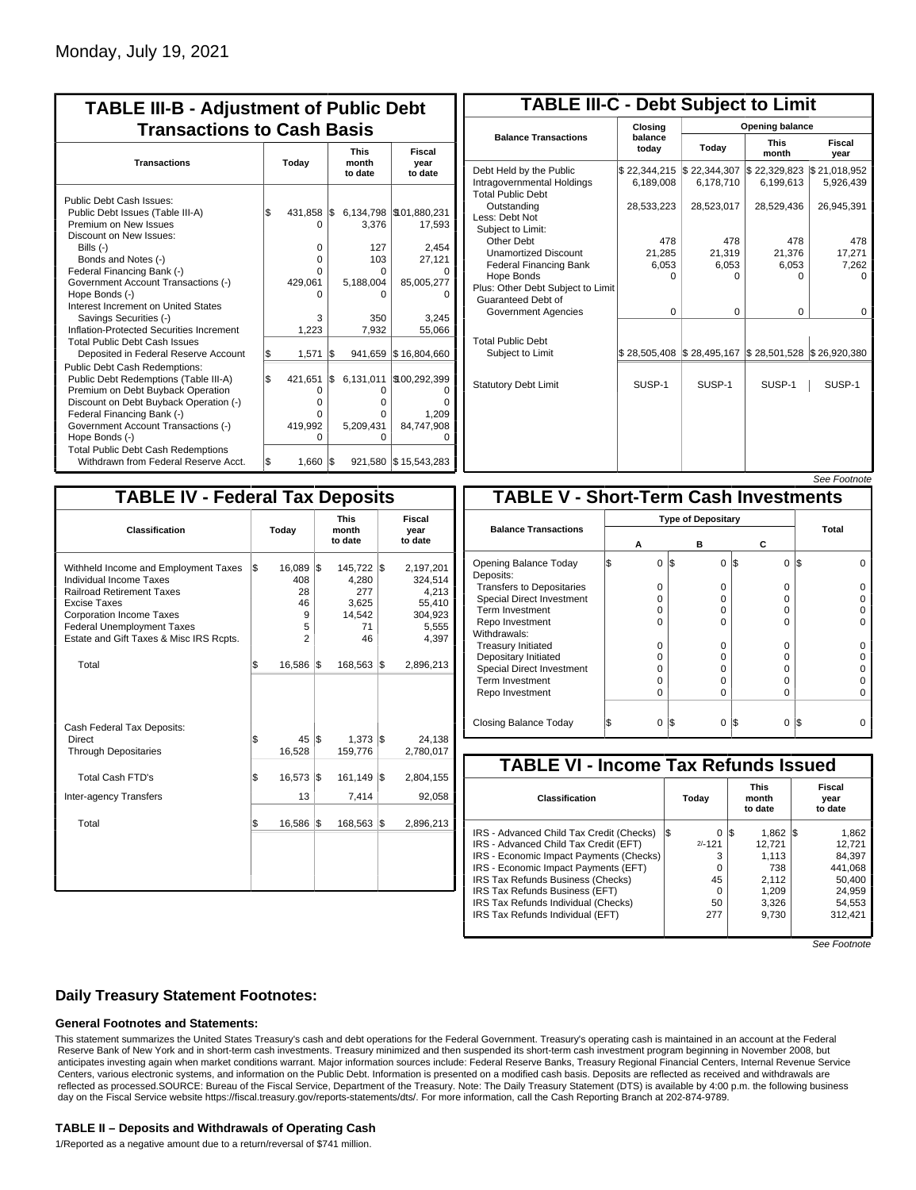| <b>TABLE III-B - Adjustment of Public Debt</b><br><b>Transactions to Cash Basis</b>                                                                                                                                                                                                                                                                                                                |           |                                                                    |           |                                                            |                                                                                       |  |  |  |  |  |  |                                 |                           |
|----------------------------------------------------------------------------------------------------------------------------------------------------------------------------------------------------------------------------------------------------------------------------------------------------------------------------------------------------------------------------------------------------|-----------|--------------------------------------------------------------------|-----------|------------------------------------------------------------|---------------------------------------------------------------------------------------|--|--|--|--|--|--|---------------------------------|---------------------------|
| <b>Transactions</b>                                                                                                                                                                                                                                                                                                                                                                                |           | Today                                                              |           |                                                            |                                                                                       |  |  |  |  |  |  | <b>This</b><br>month<br>to date | Fiscal<br>year<br>to date |
| Public Debt Cash Issues:<br>Public Debt Issues (Table III-A)<br>Premium on New Issues<br>Discount on New Issues:<br>Bills $(-)$<br>Bonds and Notes (-)<br>Federal Financing Bank (-)<br>Government Account Transactions (-)<br>Hope Bonds (-)<br>Interest Increment on United States<br>Savings Securities (-)<br>Inflation-Protected Securities Increment<br><b>Total Public Debt Cash Issues</b> | 1\$       | 431,858<br>O<br>$\Omega$<br>$\Omega$<br>O<br>429,061<br>3<br>1,223 | l\$       | 3,376<br>127<br>103<br>O<br>5,188,004<br>o<br>350<br>7,932 | 6,134,798 \\$01,880,231<br>17,593<br>2,454<br>27,121<br>85,005,277<br>3.245<br>55,066 |  |  |  |  |  |  |                                 |                           |
| Deposited in Federal Reserve Account<br><b>Public Debt Cash Redemptions:</b><br>Public Debt Redemptions (Table III-A)<br>Premium on Debt Buyback Operation<br>Discount on Debt Buyback Operation (-)<br>Federal Financing Bank (-)<br>Government Account Transactions (-)<br>Hope Bonds (-)<br><b>Total Public Debt Cash Redemptions</b>                                                           | \$<br>l\$ | 1,571<br>421,651<br>0<br>$\Omega$<br>O<br>419,992<br>O             | l\$<br>\$ | 941.659<br>6,131,011<br>O<br>o<br>o<br>5.209.431<br>ŋ      | \$16,804,660<br>\$100,292,399<br>1,209<br>84,747,908                                  |  |  |  |  |  |  |                                 |                           |
| Withdrawn from Federal Reserve Acct.                                                                                                                                                                                                                                                                                                                                                               | \$        | 1,660                                                              | l\$       |                                                            | 921,580 \\$15,543,283                                                                 |  |  |  |  |  |  |                                 |                           |

| <b>TABLE III-C - Debt Subject to Limit</b>                                        |                           |                                                         |                           |                           |  |  |  |  |  |
|-----------------------------------------------------------------------------------|---------------------------|---------------------------------------------------------|---------------------------|---------------------------|--|--|--|--|--|
|                                                                                   | Closing                   | Opening balance                                         |                           |                           |  |  |  |  |  |
| <b>Balance Transactions</b>                                                       | balance<br>today          | Today                                                   | <b>This</b><br>month      | Fiscal<br>year            |  |  |  |  |  |
| Debt Held by the Public<br>Intragovernmental Holdings<br><b>Total Public Debt</b> | \$22,344,215<br>6,189,008 | \$22,344,307<br>6,178,710                               | \$22,329,823<br>6,199,613 | \$21,018,952<br>5,926,439 |  |  |  |  |  |
| Outstanding<br>Less: Debt Not<br>Subject to Limit:                                | 28,533,223                | 28,523,017                                              | 28,529,436                | 26,945,391                |  |  |  |  |  |
| Other Debt                                                                        | 478                       | 478                                                     | 478                       | 478                       |  |  |  |  |  |
| <b>Unamortized Discount</b>                                                       | 21,285                    | 21,319                                                  | 21,376                    | 17,271                    |  |  |  |  |  |
| <b>Federal Financing Bank</b>                                                     | 6,053                     | 6,053                                                   | 6,053                     | 7,262                     |  |  |  |  |  |
| Hope Bonds<br>Plus: Other Debt Subject to Limit<br>Guaranteed Debt of             | O                         | O                                                       | 0                         | 0                         |  |  |  |  |  |
| Government Agencies                                                               | 0                         | 0                                                       | 0                         | 0                         |  |  |  |  |  |
| <b>Total Public Debt</b><br>Subject to Limit                                      |                           | $$28,505,408$ $$28,495,167$ $$28,501,528$ $$26,920,380$ |                           |                           |  |  |  |  |  |
| <b>Statutory Debt Limit</b>                                                       | SUSP-1                    | SUSP-1                                                  | SUSP-1                    | SUSP-1                    |  |  |  |  |  |
|                                                                                   |                           |                                                         |                           |                           |  |  |  |  |  |

### See Footnote

| <b>TABLE IV - Federal Tax Deposits</b>                                                                                                                                                                                                               |     |                                                       |     |                                                        |     |                                                                      |  |
|------------------------------------------------------------------------------------------------------------------------------------------------------------------------------------------------------------------------------------------------------|-----|-------------------------------------------------------|-----|--------------------------------------------------------|-----|----------------------------------------------------------------------|--|
| <b>Classification</b>                                                                                                                                                                                                                                |     | Today                                                 |     | <b>This</b><br>month<br>to date                        |     | Fiscal<br>year<br>to date                                            |  |
| Withheld Income and Employment Taxes<br><b>Individual Income Taxes</b><br><b>Railroad Retirement Taxes</b><br><b>Excise Taxes</b><br><b>Corporation Income Taxes</b><br><b>Federal Unemployment Taxes</b><br>Estate and Gift Taxes & Misc IRS Rcpts. | l\$ | 16,089<br>408<br>28<br>46<br>9<br>5<br>$\overline{2}$ | 1\$ | 145,722<br>4,280<br>277<br>3,625<br>14,542<br>71<br>46 | 1\$ | 2,197,201<br>324,514<br>4,213<br>55,410<br>304,923<br>5,555<br>4,397 |  |
| Total                                                                                                                                                                                                                                                | l\$ | 16,586                                                | 1\$ | 168,563 \$                                             |     | 2,896,213                                                            |  |
| Cash Federal Tax Deposits:<br>Direct<br><b>Through Depositaries</b>                                                                                                                                                                                  | \$  | 45<br>16,528                                          | l\$ | 1,373<br>159,776                                       | 1\$ | 24,138<br>2,780,017                                                  |  |
| <b>Total Cash FTD's</b><br>Inter-agency Transfers                                                                                                                                                                                                    | Ŝ.  | 16,573<br>13                                          | l\$ | 161,149<br>7,414                                       | l\$ | 2,804,155<br>92,058                                                  |  |
| Total                                                                                                                                                                                                                                                | \$  | 16,586                                                | 1\$ | 168,563                                                | 1\$ | 2,896,213                                                            |  |
|                                                                                                                                                                                                                                                      |     |                                                       |     |                                                        |     |                                                                      |  |
|                                                                                                                                                                                                                                                      |     |                                                       |     |                                                        |     |                                                                      |  |

|                                              |                           |                 |                 | טויט ויש |  |  |  |
|----------------------------------------------|---------------------------|-----------------|-----------------|----------|--|--|--|
| <b>TABLE V - Short-Term Cash Investments</b> |                           |                 |                 |          |  |  |  |
|                                              | <b>Type of Depositary</b> |                 |                 |          |  |  |  |
| <b>Balance Transactions</b>                  |                           |                 |                 | Total    |  |  |  |
|                                              | А                         | в               | С               |          |  |  |  |
| Opening Balance Today<br>Deposits:           | 0                         | l\$<br>0        | 1\$<br>0        | 1\$      |  |  |  |
| <b>Transfers to Depositaries</b>             | O                         | 0               | $\Omega$        |          |  |  |  |
| <b>Special Direct Investment</b>             | O                         | O               | 0               |          |  |  |  |
| Term Investment                              | 0                         | 0               | 0               |          |  |  |  |
| Repo Investment                              | O                         | $\Omega$        | $\Omega$        |          |  |  |  |
| Withdrawals:                                 |                           |                 |                 |          |  |  |  |
| <b>Treasury Initiated</b>                    | O                         | 0               | 0               |          |  |  |  |
| Depositary Initiated                         | O                         | O               | 0               |          |  |  |  |
| <b>Special Direct Investment</b>             | 0                         | 0               | 0               |          |  |  |  |
| <b>Term Investment</b>                       | ი                         | 0               | $\Omega$        |          |  |  |  |
| Repo Investment                              | 0                         | O               | 0               |          |  |  |  |
|                                              |                           |                 |                 |          |  |  |  |
| Closing Balance Today                        | 0                         | I\$<br>$\Omega$ | I\$<br>$\Omega$ | l\$      |  |  |  |

| <b>TABLE VI - Income Tax Refunds Issued</b> |          |                                 |                           |  |  |  |  |  |
|---------------------------------------------|----------|---------------------------------|---------------------------|--|--|--|--|--|
| Classification                              | Today    | <b>This</b><br>month<br>to date | Fiscal<br>year<br>to date |  |  |  |  |  |
| IRS - Advanced Child Tax Credit (Checks)    | l\$<br>0 | 1,862<br>15                     | 1,862<br>I\$              |  |  |  |  |  |
| IRS - Advanced Child Tax Credit (EFT)       | $2/-121$ | 12.721                          | 12.721                    |  |  |  |  |  |
| IRS - Economic Impact Payments (Checks)     | 3        | 1.113                           | 84.397                    |  |  |  |  |  |
| IRS - Economic Impact Payments (EFT)        | 0        | 738                             | 441.068                   |  |  |  |  |  |
| IRS Tax Refunds Business (Checks)           | 45       | 2.112                           | 50,400                    |  |  |  |  |  |
| IRS Tax Refunds Business (EFT)              | 0        | 1,209                           | 24.959                    |  |  |  |  |  |
| IRS Tax Refunds Individual (Checks)         | 50       | 3,326                           | 54.553                    |  |  |  |  |  |
| IRS Tax Refunds Individual (EFT)            | 277      | 9.730                           | 312.421                   |  |  |  |  |  |
|                                             |          |                                 |                           |  |  |  |  |  |

See Footnote

### **Daily Treasury Statement Footnotes:**

#### **General Footnotes and Statements:**

This statement summarizes the United States Treasury's cash and debt operations for the Federal Government. Treasury's operating cash is maintained in an account at the Federal Reserve Bank of New York and in short-term cash investments. Treasury minimized and then suspended its short-term cash investment program beginning in November 2008, but anticipates investing again when market conditions warrant. Major information sources include: Federal Reserve Banks, Treasury Regional Financial Centers, Internal Revenue Service Centers, various electronic systems, and information on the Public Debt. Information is presented on a modified cash basis. Deposits are reflected as received and withdrawals are reflected as processed.SOURCE: Bureau of the Fiscal Service, Department of the Treasury. Note: The Daily Treasury Statement (DTS) is available by 4:00 p.m. the following business day on the Fiscal Service website https://fiscal.treasury.gov/reports-statements/dts/. For more information, call the Cash Reporting Branch at 202-874-9789.

#### **TABLE II – Deposits and Withdrawals of Operating Cash**

1/Reported as a negative amount due to a return/reversal of \$741 million.